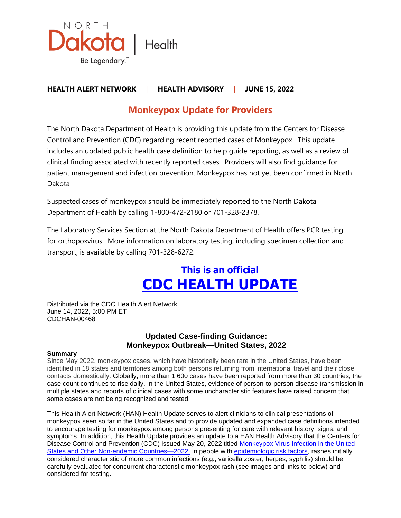

## **HEALTH ALERT NETWORK** | **HEALTH ADVISORY** | **JUNE 15, 2022**

# **Monkeypox Update for Providers**

The North Dakota Department of Health is providing this update from the Centers for Disease Control and Prevention (CDC) regarding recent reported cases of Monkeypox. This update includes an updated public health case definition to help guide reporting, as well as a review of clinical finding associated with recently reported cases. Providers will also find guidance for patient management and infection prevention. Monkeypox has not yet been confirmed in North Dakota

Suspected cases of monkeypox should be immediately reported to the North Dakota Department of Health by calling 1-800-472-2180 or 701-328-2378.

The Laboratory Services Section at the North Dakota Department of Health offers PCR testing for orthopoxvirus. More information on laboratory testing, including specimen collection and transport, is available by calling 701-328-6272.

# **This is an official CDC HEALTH UPDATE**

Distributed via the CDC Health Alert Network June 14, 2022, 5:00 PM ET CDCHAN-00468

### **Updated Case-finding Guidance: Monkeypox Outbreak—United States, 2022**

#### **Summary**

Since May 2022, monkeypox cases, which have historically been rare in the United States, have been identified in 18 states and territories among both persons returning from international travel and their close contacts domestically. Globally, more than 1,600 cases have been reported from more than 30 countries; the case count continues to rise daily. In the United States, evidence of person-to-person disease transmission in multiple states and reports of clinical cases with some uncharacteristic features have raised concern that some cases are not being recognized and tested.

This Health Alert Network (HAN) Health Update serves to alert clinicians to clinical presentations of monkeypox seen so far in the United States and to provide updated and expanded case definitions intended to encourage testing for monkeypox among persons presenting for care with relevant history, signs, and symptoms. In addition, this Health Update provides an update to a HAN Health Advisory that the Centers for Disease Control and Prevention (CDC) issued May 20, 2022 titled [Monkeypox Virus Infection in the United](https://gcc02.safelinks.protection.outlook.com/?url=https%3A%2F%2Femergency.cdc.gov%2Fhan%2F2022%2Fhan00466.asp&data=05%7C01%7Ckkruger%40nd.gov%7Cb9fbec760ee84d04e06608da4e495226%7C2dea0464da514a88bae2b3db94bc0c54%7C0%7C0%7C637908374232568947%7CUnknown%7CTWFpbGZsb3d8eyJWIjoiMC4wLjAwMDAiLCJQIjoiV2luMzIiLCJBTiI6Ik1haWwiLCJXVCI6Mn0%3D%7C3000%7C%7C%7C&sdata=QZwj90AdjBoluMyfb4f2hhZS61R14eF13RIprBpZqcE%3D&reserved=0)  [States and Other Non-endemic Countries—2022.](https://gcc02.safelinks.protection.outlook.com/?url=https%3A%2F%2Femergency.cdc.gov%2Fhan%2F2022%2Fhan00466.asp&data=05%7C01%7Ckkruger%40nd.gov%7Cb9fbec760ee84d04e06608da4e495226%7C2dea0464da514a88bae2b3db94bc0c54%7C0%7C0%7C637908374232568947%7CUnknown%7CTWFpbGZsb3d8eyJWIjoiMC4wLjAwMDAiLCJQIjoiV2luMzIiLCJBTiI6Ik1haWwiLCJXVCI6Mn0%3D%7C3000%7C%7C%7C&sdata=QZwj90AdjBoluMyfb4f2hhZS61R14eF13RIprBpZqcE%3D&reserved=0) In people with [epidemiologic risk factors,](https://gcc02.safelinks.protection.outlook.com/?url=https%3A%2F%2Fwww.cdc.gov%2Fpoxvirus%2Fmonkeypox%2Fclinicians%2Fcase-definition.html&data=05%7C01%7Ckkruger%40nd.gov%7Cb9fbec760ee84d04e06608da4e495226%7C2dea0464da514a88bae2b3db94bc0c54%7C0%7C0%7C637908374232568947%7CUnknown%7CTWFpbGZsb3d8eyJWIjoiMC4wLjAwMDAiLCJQIjoiV2luMzIiLCJBTiI6Ik1haWwiLCJXVCI6Mn0%3D%7C3000%7C%7C%7C&sdata=Kfnofw2pcObnYmMfpaRzxJ%2B6XsBPhhAzzHc40rioPBU%3D&reserved=0) rashes initially considered characteristic of more common infections (e.g., varicella zoster, herpes, syphilis) should be carefully evaluated for concurrent characteristic monkeypox rash (see images and links to below) and considered for testing.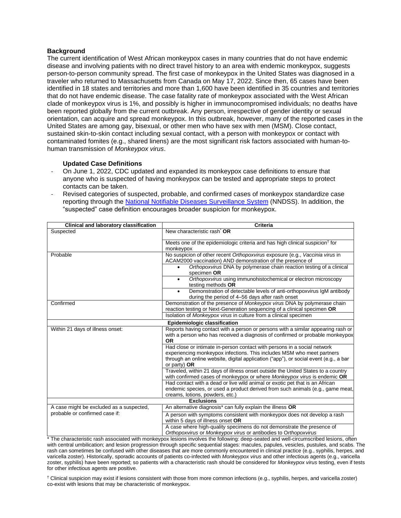#### **Background**

The current identification of West African monkeypox cases in many countries that do not have endemic disease and involving patients with no direct travel history to an area with endemic monkeypox, suggests person-to-person community spread. The first case of monkeypox in the United States was diagnosed in a traveler who returned to Massachusetts from Canada on May 17, 2022. Since then, 65 cases have been identified in 18 states and territories and more than 1,600 have been identified in 35 countries and territories that do not have endemic disease. The case fatality rate of monkeypox associated with the West African clade of monkeypox virus is 1%, and possibly is higher in immunocompromised individuals; no deaths have been reported globally from the current outbreak. Any person, irrespective of gender identity or sexual orientation, can acquire and spread monkeypox. In this outbreak, however, many of the reported cases in the United States are among gay, bisexual, or other men who have sex with men (MSM). Close contact, sustained skin-to-skin contact including sexual contact, with a person with monkeypox or contact with contaminated fomites (e.g., shared linens) are the most significant risk factors associated with human-tohuman transmission of *Monkeypox virus*.

#### **Updated Case Definitions**

- On June 1, 2022, CDC updated and expanded its monkeypox case definitions to ensure that anyone who is suspected of having monkeypox can be tested and appropriate steps to protect contacts can be taken.
- Revised categories of suspected, probable, and confirmed cases of monkeypox standardize case reporting through the [National Notifiable Diseases Surveillance System](https://gcc02.safelinks.protection.outlook.com/?url=https%3A%2F%2Fwww.cdc.gov%2Fnndss%2Findex.html&data=05%7C01%7Ckkruger%40nd.gov%7Cb9fbec760ee84d04e06608da4e495226%7C2dea0464da514a88bae2b3db94bc0c54%7C0%7C0%7C637908374232568947%7CUnknown%7CTWFpbGZsb3d8eyJWIjoiMC4wLjAwMDAiLCJQIjoiV2luMzIiLCJBTiI6Ik1haWwiLCJXVCI6Mn0%3D%7C3000%7C%7C%7C&sdata=OFOUsaeJxbM1CyFZtcK8p56jDZ5Xp7VsUVAjv9VKwT0%3D&reserved=0) (NNDSS). In addition, the "suspected" case definition encourages broader suspicion for monkeypox.

| Clinical and laboratory classification                                     | Criteria                                                                                                                                                                                                                                                     |
|----------------------------------------------------------------------------|--------------------------------------------------------------------------------------------------------------------------------------------------------------------------------------------------------------------------------------------------------------|
| Suspected                                                                  | New characteristic rash <sup>*</sup> OR                                                                                                                                                                                                                      |
|                                                                            | Meets one of the epidemiologic criteria and has high clinical suspicion <sup>†</sup> for<br>monkeypox                                                                                                                                                        |
| Probable                                                                   | No suspicion of other recent Orthopoxvirus exposure (e.g., Vaccinia virus in<br>ACAM2000 vaccination) AND demonstration of the presence of                                                                                                                   |
|                                                                            | Orthopoxvirus DNA by polymerase chain reaction testing of a clinical<br>specimen OR                                                                                                                                                                          |
|                                                                            | Orthopoxvirus using immunohistochemical or electron microscopy<br>$\bullet$<br>testing methods OR                                                                                                                                                            |
|                                                                            | Demonstration of detectable levels of anti-orthopoxvirus IgM antibody<br>during the period of 4–56 days after rash onset                                                                                                                                     |
| Confirmed                                                                  | Demonstration of the presence of Monkeypox virus DNA by polymerase chain<br>reaction testing or Next-Generation sequencing of a clinical specimen OR                                                                                                         |
|                                                                            | Isolation of Monkeypox virus in culture from a clinical specimen                                                                                                                                                                                             |
| <b>Epidemiologic classification</b>                                        |                                                                                                                                                                                                                                                              |
| Within 21 days of illness onset:                                           | Reports having contact with a person or persons with a similar appearing rash or<br>with a person who has received a diagnosis of confirmed or probable monkeypox<br><b>OR</b>                                                                               |
|                                                                            | Had close or intimate in-person contact with persons in a social network<br>experiencing monkeypox infections. This includes MSM who meet partners<br>through an online website, digital application ("app"), or social event (e.g., a bar<br>or party) $OR$ |
|                                                                            | Traveled, within 21 days of illness onset outside the United States to a country<br>with confirmed cases of monkeypox or where Monkeypox virus is endemic OR                                                                                                 |
|                                                                            | Had contact with a dead or live wild animal or exotic pet that is an African<br>endemic species, or used a product derived from such animals (e.g., game meat,<br>creams, lotions, powders, etc.)                                                            |
| <b>Exclusions</b>                                                          |                                                                                                                                                                                                                                                              |
| A case might be excluded as a suspected,<br>probable or confirmed case if: | An alternative diagnosis <sup>*</sup> can fully explain the illness OR                                                                                                                                                                                       |
|                                                                            | A person with symptoms consistent with monkeypox does not develop a rash<br>within 5 days of illness onset OR                                                                                                                                                |
|                                                                            | A case where high-quality specimens do not demonstrate the presence of<br>Orthopoxvirus or Monkeypox virus or antibodies to Orthopoxvirus                                                                                                                    |

\* The characteristic rash associated with monkeypox lesions involves the following: deep-seated and well-circumscribed lesions, often with central umbilication; and lesion progression through specific sequential stages: macules, papules, vesicles, pustules, and scabs. The rash can sometimes be confused with other diseases that are more commonly encountered in clinical practice (e.g., syphilis, herpes, and varicella zoster). Historically, sporadic accounts of patients co-infected with *Monkeypox virus* and other infectious agents (e.g., varicella zoster, syphilis) have been reported; so patients with a characteristic rash should be considered for *Monkeypox virus* testing, even if tests for other infectious agents are positive.

† Clinical suspicion may exist if lesions consistent with those from more common infections (e.g., syphilis, herpes, and varicella zoster) co-exist with lesions that may be characteristic of monkeypox.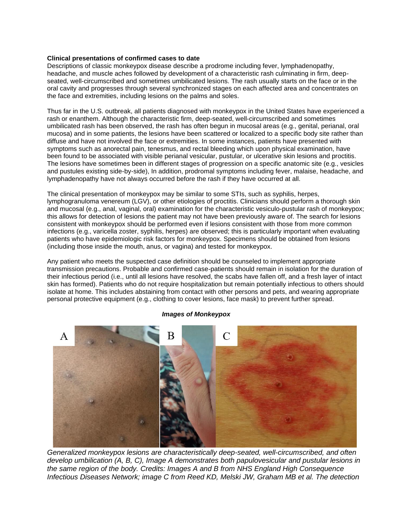#### **Clinical presentations of confirmed cases to date**

Descriptions of classic monkeypox disease describe a prodrome including fever, lymphadenopathy, headache, and muscle aches followed by development of a characteristic rash culminating in firm, deepseated, well-circumscribed and sometimes umbilicated lesions. The rash usually starts on the face or in the oral cavity and progresses through several synchronized stages on each affected area and concentrates on the face and extremities, including lesions on the palms and soles.

Thus far in the U.S. outbreak, all patients diagnosed with monkeypox in the United States have experienced a rash or enanthem. Although the characteristic firm, deep-seated, well-circumscribed and sometimes umbilicated rash has been observed, the rash has often begun in mucosal areas (e.g., genital, perianal, oral mucosa) and in some patients, the lesions have been scattered or localized to a specific body site rather than diffuse and have not involved the face or extremities. In some instances, patients have presented with symptoms such as anorectal pain, tenesmus, and rectal bleeding which upon physical examination, have been found to be associated with visible perianal vesicular, pustular, or ulcerative skin lesions and proctitis. The lesions have sometimes been in different stages of progression on a specific anatomic site (e.g., vesicles and pustules existing side-by-side), In addition, prodromal symptoms including fever, malaise, headache, and lymphadenopathy have not always occurred before the rash if they have occurred at all.

The clinical presentation of monkeypox may be similar to some STIs, such as syphilis, herpes, lymphogranuloma venereum (LGV), or other etiologies of proctitis. Clinicians should perform a thorough skin and mucosal (e.g., anal, vaginal, oral) examination for the characteristic vesiculo-pustular rash of monkeypox; this allows for detection of lesions the patient may not have been previously aware of. The search for lesions consistent with monkeypox should be performed even if lesions consistent with those from more common infections (e.g., varicella zoster, syphilis, herpes) are observed; this is particularly important when evaluating patients who have epidemiologic risk factors for monkeypox. Specimens should be obtained from lesions (including those inside the mouth, anus, or vagina) and tested for monkeypox.

Any patient who meets the suspected case definition should be counseled to implement appropriate transmission precautions. Probable and confirmed case-patients should remain in isolation for the duration of their infectious period (i.e., until all lesions have resolved, the scabs have fallen off, and a fresh layer of intact skin has formed). Patients who do not require hospitalization but remain potentially infectious to others should isolate at home. This includes abstaining from contact with other persons and pets, and wearing appropriate personal protective equipment (e.g., clothing to cover lesions, face mask) to prevent further spread.



#### *Images of Monkeypox*

*Generalized monkeypox lesions are characteristically deep-seated, well-circumscribed, and often develop umbilication (A, B, C), Image A demonstrates both papulovesicular and pustular lesions in the same region of the body. Credits: Images A and B from NHS England High Consequence Infectious Diseases Network; image C from Reed KD, Melski JW, Graham MB et al. The detection*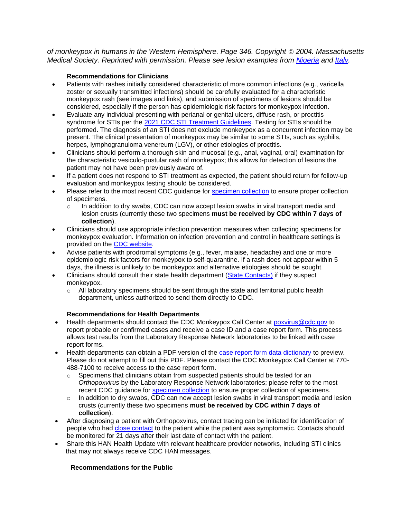*of monkeypox in humans in the Western Hemisphere. Page 346. Copyright* © *2004. Massachusetts Medical Society. Reprinted with permission. Please see lesion examples from [Nigeria](https://gcc02.safelinks.protection.outlook.com/?url=https%3A%2F%2Fpubmed.ncbi.nlm.nih.gov%2F32052029%2F&data=05%7C01%7Ckkruger%40nd.gov%7Cb9fbec760ee84d04e06608da4e495226%7C2dea0464da514a88bae2b3db94bc0c54%7C0%7C0%7C637908374232568947%7CUnknown%7CTWFpbGZsb3d8eyJWIjoiMC4wLjAwMDAiLCJQIjoiV2luMzIiLCJBTiI6Ik1haWwiLCJXVCI6Mn0%3D%7C3000%7C%7C%7C&sdata=dbBRku9BdlYRK2pFbcEjmY5Dkl%2FM1y0IFHH4xNpG9pg%3D&reserved=0) and [Italy.](https://gcc02.safelinks.protection.outlook.com/?url=https%3A%2F%2Fpubmed.ncbi.nlm.nih.gov%2F35656836%2F&data=05%7C01%7Ckkruger%40nd.gov%7Cb9fbec760ee84d04e06608da4e495226%7C2dea0464da514a88bae2b3db94bc0c54%7C0%7C0%7C637908374232568947%7CUnknown%7CTWFpbGZsb3d8eyJWIjoiMC4wLjAwMDAiLCJQIjoiV2luMzIiLCJBTiI6Ik1haWwiLCJXVCI6Mn0%3D%7C3000%7C%7C%7C&sdata=isBdz2iDi%2F797XejN73YJd6cuaD8U0Mb5qH9ujwLXiY%3D&reserved=0)*

#### **Recommendations for Clinicians**

- Patients with rashes initially considered characteristic of more common infections (e.g., varicella zoster or sexually transmitted infections) should be carefully evaluated for a characteristic monkeypox rash (see images and links), and submission of specimens of lesions should be considered, especially if the person has epidemiologic risk factors for monkeypox infection.
- Evaluate any individual presenting with perianal or genital ulcers, diffuse rash, or proctitis syndrome for STIs per the [2021 CDC STI Treatment Guidelines.](https://gcc02.safelinks.protection.outlook.com/?url=https%3A%2F%2Fwww.cdc.gov%2Fstd%2Ftreatment-guidelines%2Fdefault.htm&data=05%7C01%7Ckkruger%40nd.gov%7Cb9fbec760ee84d04e06608da4e495226%7C2dea0464da514a88bae2b3db94bc0c54%7C0%7C0%7C637908374232568947%7CUnknown%7CTWFpbGZsb3d8eyJWIjoiMC4wLjAwMDAiLCJQIjoiV2luMzIiLCJBTiI6Ik1haWwiLCJXVCI6Mn0%3D%7C3000%7C%7C%7C&sdata=DCzNIGVUkRclyya08sQE7Yfcxf0BtR4cn0ZtfJnTrV8%3D&reserved=0) Testing for STIs should be performed. The diagnosis of an STI does not exclude monkeypox as a concurrent infection may be present. The clinical presentation of monkeypox may be similar to some STIs, such as syphilis, herpes, lymphogranuloma venereum (LGV), or other etiologies of proctitis.
- Clinicians should perform a thorough skin and mucosal (e.g., anal, vaginal, oral) examination for the characteristic vesiculo-pustular rash of monkeypox; this allows for detection of lesions the patient may not have been previously aware of.
- If a patient does not respond to STI treatment as expected, the patient should return for follow-up evaluation and monkeypox testing should be considered.
- Please refer to the most recent CDC quidance for [specimen collection](https://gcc02.safelinks.protection.outlook.com/?url=https%3A%2F%2Fwww.cdc.gov%2Fpoxvirus%2Fmonkeypox%2Fclinicians%2Fprep-collection-specimens.html&data=05%7C01%7Ckkruger%40nd.gov%7Cb9fbec760ee84d04e06608da4e495226%7C2dea0464da514a88bae2b3db94bc0c54%7C0%7C0%7C637908374232568947%7CUnknown%7CTWFpbGZsb3d8eyJWIjoiMC4wLjAwMDAiLCJQIjoiV2luMzIiLCJBTiI6Ik1haWwiLCJXVCI6Mn0%3D%7C3000%7C%7C%7C&sdata=E4JLqX57t7Oe2wgPBDqTWy325JOR3BxSSCjUYQeFQQc%3D&reserved=0) to ensure proper collection of specimens.
	- $\circ$  In addition to dry swabs, CDC can now accept lesion swabs in viral transport media and lesion crusts (currently these two specimens **must be received by CDC within 7 days of collection**).
- Clinicians should use appropriate infection prevention measures when collecting specimens for monkeypox evaluation. Information on infection prevention and control in healthcare settings is provided on the [CDC website.](https://gcc02.safelinks.protection.outlook.com/?url=https%3A%2F%2Fwww.cdc.gov%2Fpoxvirus%2Fmonkeypox%2Fclinicians%2Finfection-control-healthcare.html&data=05%7C01%7Ckkruger%40nd.gov%7Cb9fbec760ee84d04e06608da4e495226%7C2dea0464da514a88bae2b3db94bc0c54%7C0%7C0%7C637908374232568947%7CUnknown%7CTWFpbGZsb3d8eyJWIjoiMC4wLjAwMDAiLCJQIjoiV2luMzIiLCJBTiI6Ik1haWwiLCJXVCI6Mn0%3D%7C3000%7C%7C%7C&sdata=cTP5ngilbu4hGyuxJXmmaoo%2Bx%2F2Ho0KEjLyIQ1Ce6uI%3D&reserved=0)
- Advise patients with prodromal symptoms (e.g., fever, malaise, headache) and one or more epidemiologic risk factors for monkeypox to self-quarantine. If a rash does not appear within 5 days, the illness is unlikely to be monkeypox and alternative etiologies should be sought.
- Clinicians should consult their state health department [\(State Contacts\)](https://gcc02.safelinks.protection.outlook.com/?url=https%3A%2F%2Fresources.cste.org%2Fepiafterhours&data=05%7C01%7Ckkruger%40nd.gov%7Cb9fbec760ee84d04e06608da4e495226%7C2dea0464da514a88bae2b3db94bc0c54%7C0%7C0%7C637908374232568947%7CUnknown%7CTWFpbGZsb3d8eyJWIjoiMC4wLjAwMDAiLCJQIjoiV2luMzIiLCJBTiI6Ik1haWwiLCJXVCI6Mn0%3D%7C3000%7C%7C%7C&sdata=cYHQODx69Y35c%2B7aCdaYkxoNB8cBa434GLedYB9Ua3o%3D&reserved=0) if they suspect monkeypox.
	- $\circ$  All laboratory specimens should be sent through the state and territorial public health department, unless authorized to send them directly to CDC.

#### **Recommendations for Health Departments**

- Health departments should contact the CDC Monkeypox Call Center at poxyirus@cdc.gov to report probable or confirmed cases and receive a case ID and a case report form. This process allows test results from the Laboratory Response Network laboratories to be linked with case report forms.
- Health departments can obtain a PDF version of the [case report form data dictionary t](https://gcc02.safelinks.protection.outlook.com/?url=https%3A%2F%2Fwww.cdc.gov%2Fpoxvirus%2Fmonkeypox%2Fpdf%2F2022-Monkeypox-Outbreak-Case-Report-REDCap-20220603.pdf&data=05%7C01%7Ckkruger%40nd.gov%7Cb9fbec760ee84d04e06608da4e495226%7C2dea0464da514a88bae2b3db94bc0c54%7C0%7C0%7C637908374232568947%7CUnknown%7CTWFpbGZsb3d8eyJWIjoiMC4wLjAwMDAiLCJQIjoiV2luMzIiLCJBTiI6Ik1haWwiLCJXVCI6Mn0%3D%7C3000%7C%7C%7C&sdata=vOftaSQL9tzDwNyU%2FJufyNwrDvH6g6llehNfPi5WI%2FY%3D&reserved=0)o preview. Please do not attempt to fill out this PDF. Please contact the CDC Monkeypox Call Center at 770- 488-7100 to receive access to the case report form.
	- o Specimens that clinicians obtain from suspected patients should be tested for an *Orthopoxvirus* by the Laboratory Response Network laboratories; please refer to the most recent CDC guidance for [specimen collection](https://gcc02.safelinks.protection.outlook.com/?url=https%3A%2F%2Fwww.cdc.gov%2Fpoxvirus%2Fmonkeypox%2Fclinicians%2Fprep-collection-specimens.html&data=05%7C01%7Ckkruger%40nd.gov%7Cb9fbec760ee84d04e06608da4e495226%7C2dea0464da514a88bae2b3db94bc0c54%7C0%7C0%7C637908374232568947%7CUnknown%7CTWFpbGZsb3d8eyJWIjoiMC4wLjAwMDAiLCJQIjoiV2luMzIiLCJBTiI6Ik1haWwiLCJXVCI6Mn0%3D%7C3000%7C%7C%7C&sdata=E4JLqX57t7Oe2wgPBDqTWy325JOR3BxSSCjUYQeFQQc%3D&reserved=0) to ensure proper collection of specimens.
	- $\circ$  In addition to dry swabs, CDC can now accept lesion swabs in viral transport media and lesion crusts (currently these two specimens **must be received by CDC within 7 days of collection**).
- After diagnosing a patient with Orthopoxvirus, contact tracing can be initiated for identification of people who had [close contact](https://gcc02.safelinks.protection.outlook.com/?url=https%3A%2F%2Fwww.cdc.gov%2Fpoxvirus%2Fmonkeypox%2Fclinicians%2Fmonitoring.html&data=05%7C01%7Ckkruger%40nd.gov%7Cb9fbec760ee84d04e06608da4e495226%7C2dea0464da514a88bae2b3db94bc0c54%7C0%7C0%7C637908374232568947%7CUnknown%7CTWFpbGZsb3d8eyJWIjoiMC4wLjAwMDAiLCJQIjoiV2luMzIiLCJBTiI6Ik1haWwiLCJXVCI6Mn0%3D%7C3000%7C%7C%7C&sdata=Oqvh1oBiiNFkvbn%2BV3%2F11iNZ1bMV3VFfxolZEf%2FLN%2BY%3D&reserved=0) to the patient while the patient was symptomatic. Contacts should be monitored for 21 days after their last date of contact with the patient.
- Share this HAN Health Update with relevant healthcare provider networks, including STI clinics that may not always receive CDC HAN messages.

#### **Recommendations for the Public**